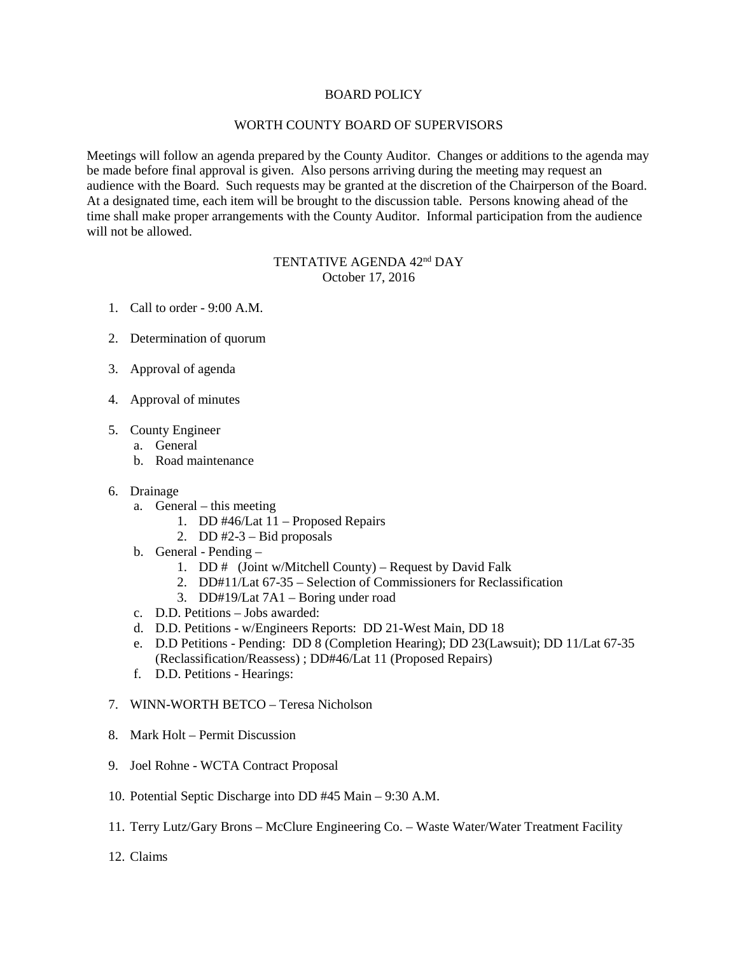## BOARD POLICY

## WORTH COUNTY BOARD OF SUPERVISORS

Meetings will follow an agenda prepared by the County Auditor. Changes or additions to the agenda may be made before final approval is given. Also persons arriving during the meeting may request an audience with the Board. Such requests may be granted at the discretion of the Chairperson of the Board. At a designated time, each item will be brought to the discussion table. Persons knowing ahead of the time shall make proper arrangements with the County Auditor. Informal participation from the audience will not be allowed.

## TENTATIVE AGENDA 42<sup>nd</sup> DAY October 17, 2016

- 1. Call to order 9:00 A.M.
- 2. Determination of quorum
- 3. Approval of agenda
- 4. Approval of minutes
- 5. County Engineer
	- a. General
	- b. Road maintenance
- 6. Drainage
	- a. General this meeting
		- 1. DD #46/Lat 11 Proposed Repairs
		- 2. DD  $#2-3$  Bid proposals
	- b. General Pending
		- 1. DD # (Joint w/Mitchell County) Request by David Falk
		- 2. DD#11/Lat 67-35 Selection of Commissioners for Reclassification
		- 3. DD#19/Lat 7A1 Boring under road
	- c. D.D. Petitions Jobs awarded:
	- d. D.D. Petitions w/Engineers Reports: DD 21-West Main, DD 18
	- e. D.D Petitions Pending: DD 8 (Completion Hearing); DD 23(Lawsuit); DD 11/Lat 67-35 (Reclassification/Reassess) ; DD#46/Lat 11 (Proposed Repairs)
	- f. D.D. Petitions Hearings:
- 7. WINN-WORTH BETCO Teresa Nicholson
- 8. Mark Holt Permit Discussion
- 9. Joel Rohne WCTA Contract Proposal
- 10. Potential Septic Discharge into DD #45 Main 9:30 A.M.
- 11. Terry Lutz/Gary Brons McClure Engineering Co. Waste Water/Water Treatment Facility
- 12. Claims